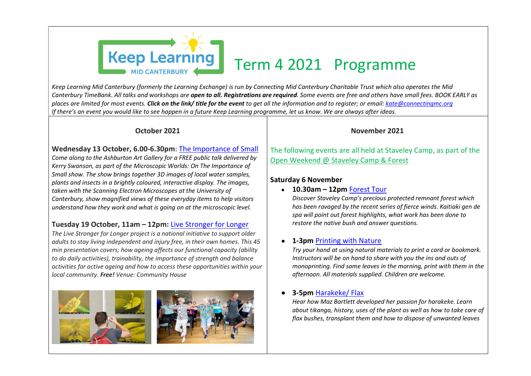

Keep Learning Mid Canterbury (formerly the Learning Exchange) is run by Connecting Mid Canterbury Charitable Trust which also operates the Mid Canterbury TimeBank. All talks and workshops are open to all. Registrations are required. Some events are free and others have small fees. BOOK EARLY as places are limited for most events. **Click on the link/ title for the event** to get all the information and to register; or email: <u>kate@connectingmc.org</u><br>If there's an event you would like to see happen in a future Keep L

## October 2021

## Wednesday 13 October, 6.00-6.30pm: The Importance of Small

Come along to the Ashburton Art Gallery for a FREE public talk delivered by Kerry Swanson, as part of the Microscopic Worlds: On The Importance of Small show. The show brings together 3D images of local water samples, plants and insects in a brightly coloured, interactive display. The images, taken with the Scanning Electron Microscopes at the University of Canterbury, show magnified views of these everyday items to help visitors understand how they work and what is going on at the microscopic level.

# Tuesday 19 October, 11am – 12pm: Live Stronger for Longer

The Live Stronger for Longer project is a national initiative to support older adults to stay living independent and injury free, in their own homes. This 45 min presentation covers; how ageing affects our functional capacity (ability to do daily activities), trainability, the importance of strength and balance activities for active ageing and how to access these opportunities within your local community. Free! Venue: Community House



## November 2021

The following events are all held at Staveley Camp, as part of the Open Weekend @ Staveley Camp & Forest

# Saturday 6 November

## • 10.30am – 12pm Forest Tour

Discover Staveley Camp's precious protected remnant forest which has been ravaged by the recent series of fierce winds. Kaitiaki gen de spa will point out forest highlights, what work has been done to restore the native bush and answer questions.

# 1-3pm Printing with Nature

Try your hand at using natural materials to print a card or bookmark. Instructors will be on hand to share with you the ins and outs of monoprinting. Find some leaves in the morning, print with them in the afternoon. All materials supplied. Children are welcome.

# 3-5pm Harakeke/ Flax

Hear how Maz Bartlett developed her passion for harakeke. Learn about tikanga, history, uses of the plant as well as how to take care of flax bushes, transplant them and how to dispose of unwanted leaves